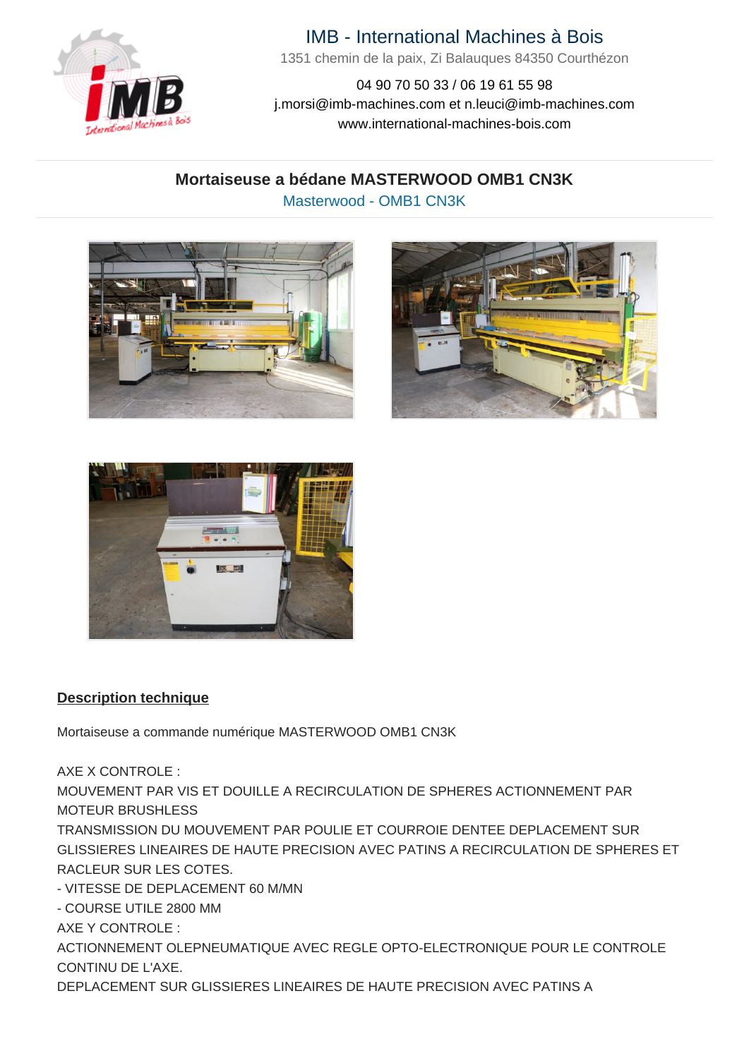

# IMB - International Machines à Bois

1351 chemin de la paix, Zi Balauques 84350 Courthézon

04 90 70 50 33 / 06 19 61 55 98 j.morsi@imb-machines.com et n.leuci@imb-machines.com www.international-machines-bois.com

## **Mortaiseuse a bédane MASTERWOOD OMB1 CN3K** Masterwood - OMB1 CN3K







#### **Description technique**

Mortaiseuse a commande numérique MASTERWOOD OMB1 CN3K

AXE X CONTROLE :

MOUVEMENT PAR VIS ET DOUILLE A RECIRCULATION DE SPHERES ACTIONNEMENT PAR MOTEUR BRUSHLESS

TRANSMISSION DU MOUVEMENT PAR POULIE ET COURROIE DENTEE DEPLACEMENT SUR GLISSIERES LINEAIRES DE HAUTE PRECISION AVEC PATINS A RECIRCULATION DE SPHERES ET RACLEUR SUR LES COTES.

- VITESSE DE DEPLACEMENT 60 M/MN

- COURSE UTILE 2800 MM

AXE Y CONTROLE :

ACTIONNEMENT OLEPNEUMATIQUE AVEC REGLE OPTO-ELECTRONIQUE POUR LE CONTROLE CONTINU DE L'AXE.

DEPLACEMENT SUR GLISSIERES LINEAIRES DE HAUTE PRECISION AVEC PATINS A